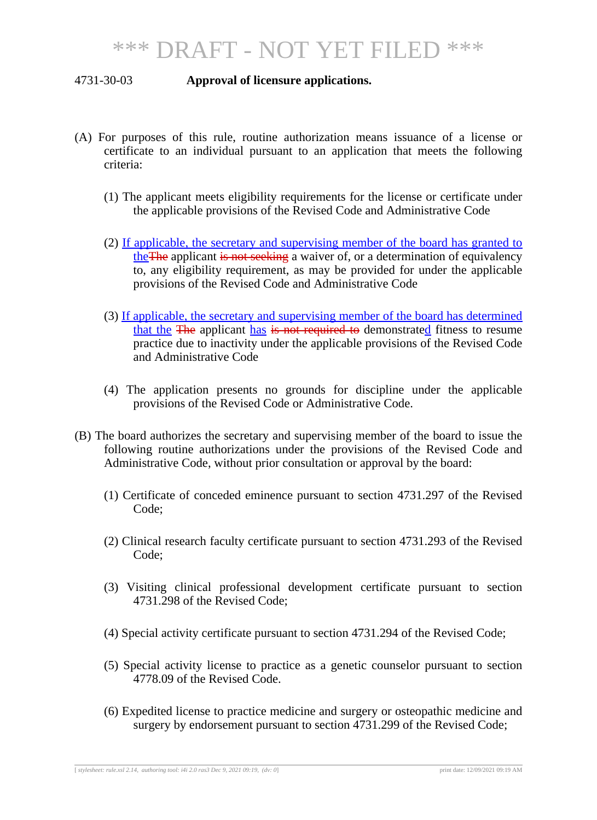## 4731-30-03 **Approval of licensure applications.**

- (A) For purposes of this rule, routine authorization means issuance of a license or certificate to an individual pursuant to an application that meets the following criteria:
	- (1) The applicant meets eligibility requirements for the license or certificate under the applicable provisions of the Revised Code and Administrative Code
	- (2) If applicable, the secretary and supervising member of the board has granted to theThe applicant is not seeking a waiver of, or a determination of equivalency to, any eligibility requirement, as may be provided for under the applicable provisions of the Revised Code and Administrative Code
	- (3) If applicable, the secretary and supervising member of the board has determined that the The applicant has is not required to demonstrated fitness to resume practice due to inactivity under the applicable provisions of the Revised Code and Administrative Code
	- (4) The application presents no grounds for discipline under the applicable provisions of the Revised Code or Administrative Code.
- (B) The board authorizes the secretary and supervising member of the board to issue the following routine authorizations under the provisions of the Revised Code and Administrative Code, without prior consultation or approval by the board:
	- (1) Certificate of conceded eminence pursuant to section 4731.297 of the Revised Code;
	- (2) Clinical research faculty certificate pursuant to section 4731.293 of the Revised Code;
	- (3) Visiting clinical professional development certificate pursuant to section 4731.298 of the Revised Code;
	- (4) Special activity certificate pursuant to section 4731.294 of the Revised Code;
	- (5) Special activity license to practice as a genetic counselor pursuant to section 4778.09 of the Revised Code.
	- (6) Expedited license to practice medicine and surgery or osteopathic medicine and surgery by endorsement pursuant to section 4731.299 of the Revised Code;

[ *stylesheet: rule.xsl 2.14, authoring tool: i4i 2.0 ras3 Dec 9, 2021 09:19, (dv: 0*] print date: 12/09/2021 09:19 AM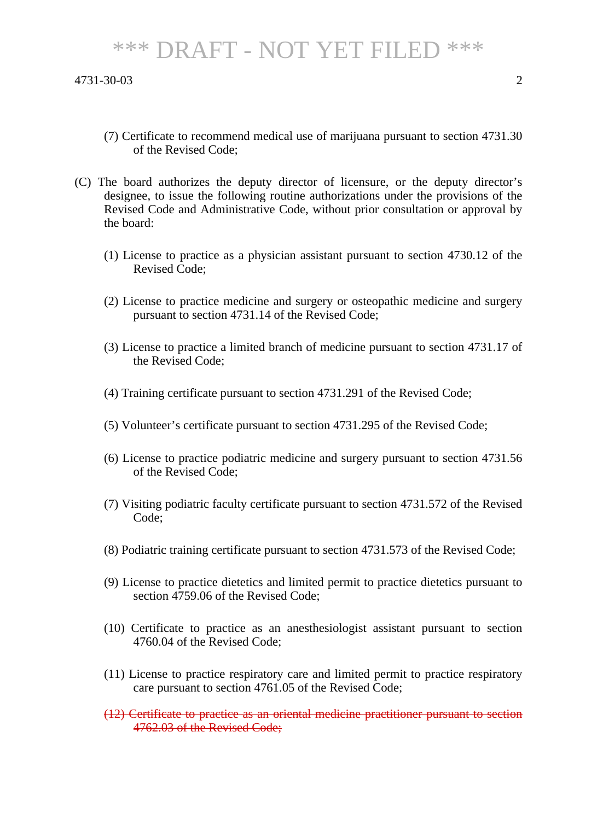## \*\*\* DRAFT - NOT YET FILED \*\*\*

4731-30-03 2

- (7) Certificate to recommend medical use of marijuana pursuant to section 4731.30 of the Revised Code;
- (C) The board authorizes the deputy director of licensure, or the deputy director's designee, to issue the following routine authorizations under the provisions of the Revised Code and Administrative Code, without prior consultation or approval by the board:
	- (1) License to practice as a physician assistant pursuant to section 4730.12 of the Revised Code;
	- (2) License to practice medicine and surgery or osteopathic medicine and surgery pursuant to section 4731.14 of the Revised Code;
	- (3) License to practice a limited branch of medicine pursuant to section 4731.17 of the Revised Code;
	- (4) Training certificate pursuant to section 4731.291 of the Revised Code;
	- (5) Volunteer's certificate pursuant to section 4731.295 of the Revised Code;
	- (6) License to practice podiatric medicine and surgery pursuant to section 4731.56 of the Revised Code;
	- (7) Visiting podiatric faculty certificate pursuant to section 4731.572 of the Revised Code;
	- (8) Podiatric training certificate pursuant to section 4731.573 of the Revised Code;
	- (9) License to practice dietetics and limited permit to practice dietetics pursuant to section 4759.06 of the Revised Code;
	- (10) Certificate to practice as an anesthesiologist assistant pursuant to section 4760.04 of the Revised Code;
	- (11) License to practice respiratory care and limited permit to practice respiratory care pursuant to section 4761.05 of the Revised Code;
	- (12) Certificate to practice as an oriental medicine practitioner pursuant to section 4762.03 of the Revised Code;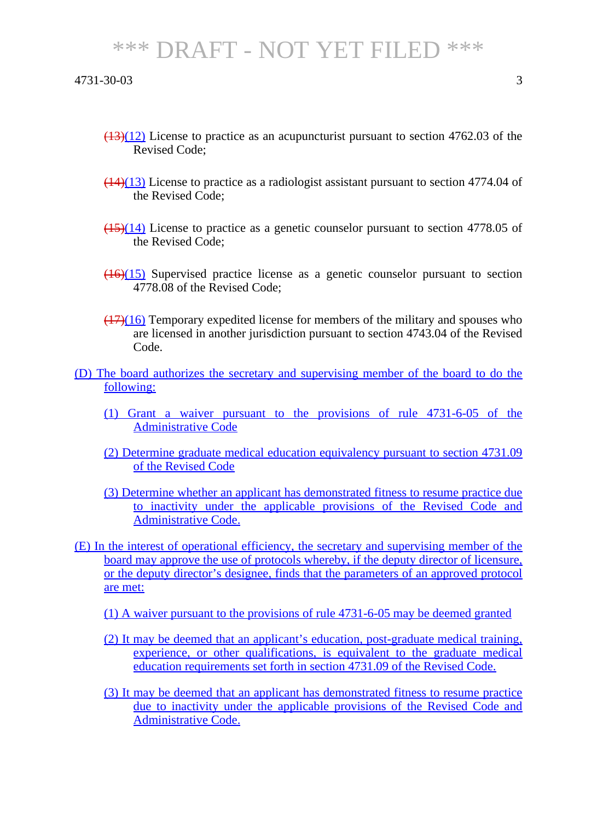## \*\*\* DRAFT - NOT YET FILED \*\*\*

- $\left(\frac{(13)(12)}{(13)(12)}\right)$  License to practice as an acupuncturist pursuant to section 4762.03 of the Revised Code;
- $(14)(13)$  License to practice as a radiologist assistant pursuant to section 4774.04 of the Revised Code;
- $(15)(14)$  License to practice as a genetic counselor pursuant to section 4778.05 of the Revised Code;
- $(16)(15)$  Supervised practice license as a genetic counselor pursuant to section 4778.08 of the Revised Code;
- $(17)(16)$  Temporary expedited license for members of the military and spouses who are licensed in another jurisdiction pursuant to section 4743.04 of the Revised Code.
- (D) The board authorizes the secretary and supervising member of the board to do the following:
	- (1) Grant a waiver pursuant to the provisions of rule 4731-6-05 of the Administrative Code
	- (2) Determine graduate medical education equivalency pursuant to section 4731.09 of the Revised Code
	- (3) Determine whether an applicant has demonstrated fitness to resume practice due to inactivity under the applicable provisions of the Revised Code and Administrative Code.
- (E) In the interest of operational efficiency, the secretary and supervising member of the board may approve the use of protocols whereby, if the deputy director of licensure, or the deputy director's designee, finds that the parameters of an approved protocol are met:
	- (1) A waiver pursuant to the provisions of rule 4731-6-05 may be deemed granted
	- (2) It may be deemed that an applicant's education, post-graduate medical training, experience, or other qualifications, is equivalent to the graduate medical education requirements set forth in section 4731.09 of the Revised Code.
	- (3) It may be deemed that an applicant has demonstrated fitness to resume practice due to inactivity under the applicable provisions of the Revised Code and Administrative Code.